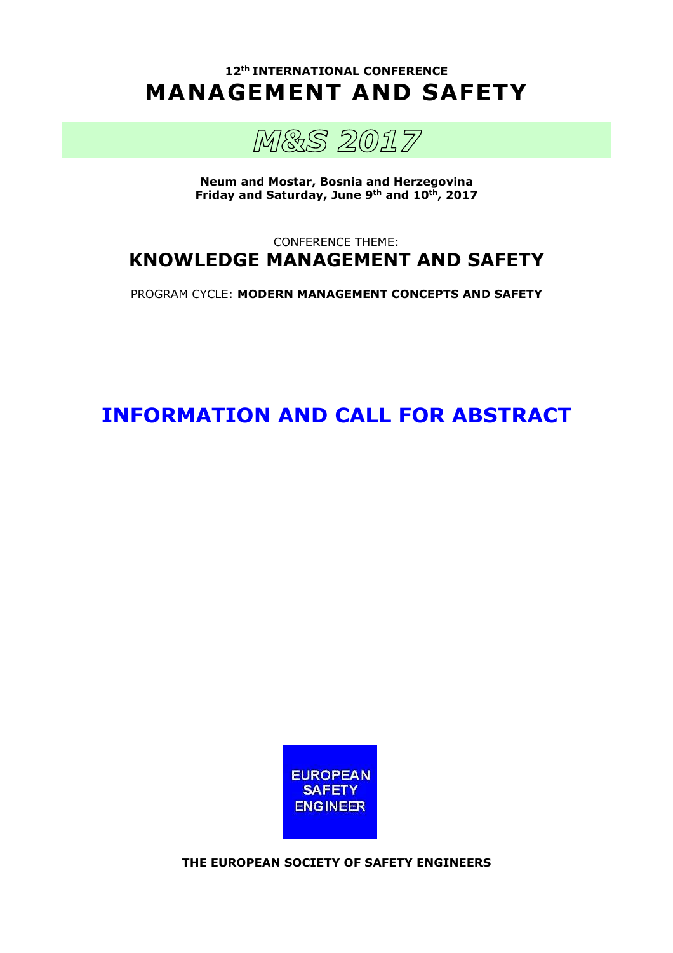**12th INTERNATIONAL CONFERENCE MANAGEMENT AND SAFETY** 



**Neum and Mostar, Bosnia and Herzegovina Friday and Saturday, June 9th and 10th, 2017** 

# CONFERENCE THEME: **KNOWLEDGE MANAGEMENT AND SAFETY**

PROGRAM CYCLE: **MODERN MANAGEMENT CONCEPTS AND SAFETY**

**INFORMATION AND CALL FOR ABSTRACT** 



**THE EUROPEAN SOCIETY OF SAFETY ENGINEERS**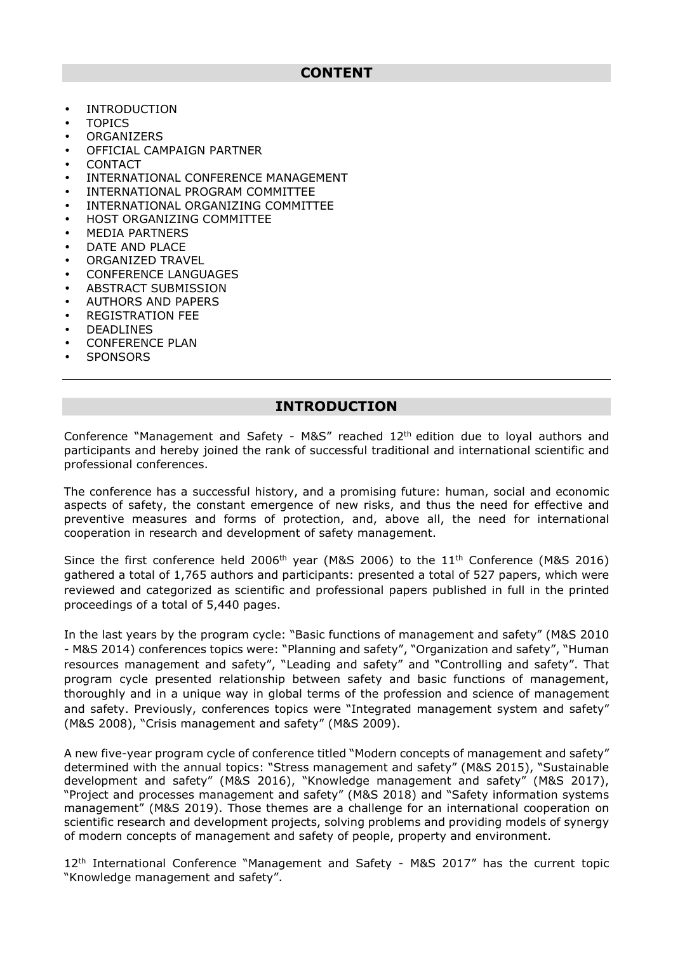- INTRODUCTION
- TOPICS
- ORGANIZERS
- OFFICIAL CAMPAIGN PARTNER
- CONTACT
- INTERNATIONAL CONFERENCE MANAGEMENT
- INTERNATIONAL PROGRAM COMMITTEE
- INTERNATIONAL ORGANIZING COMMITTEE
- HOST ORGANIZING COMMITTEE
- MEDIA PARTNERS
- DATE AND PLACE
- ORGANIZED TRAVEL
- CONFERENCE LANGUAGES
- ABSTRACT SUBMISSION
- AUTHORS AND PAPERS
- REGISTRATION FEE
- **DEADLINES**
- CONFERENCE PLAN
- SPONSORS
- 

## **INTRODUCTION**

Conference "Management and Safety - M&S" reached 12th edition due to loyal authors and participants and hereby joined the rank of successful traditional and international scientific and professional conferences.

The conference has a successful history, and a promising future: human, social and economic aspects of safety, the constant emergence of new risks, and thus the need for effective and preventive measures and forms of protection, and, above all, the need for international cooperation in research and development of safety management.

Since the first conference held 2006<sup>th</sup> year (M&S 2006) to the  $11<sup>th</sup>$  Conference (M&S 2016) gathered a total of 1,765 authors and participants: presented a total of 527 papers, which were reviewed and categorized as scientific and professional papers published in full in the printed proceedings of a total of 5,440 pages.

In the last years by the program cycle: "Basic functions of management and safety" (M&S 2010 - M&S 2014) conferences topics were: "Planning and safety", "Organization and safety", "Human resources management and safety", "Leading and safety" and "Controlling and safety". That program cycle presented relationship between safety and basic functions of management, thoroughly and in a unique way in global terms of the profession and science of management and safety. Previously, conferences topics were "Integrated management system and safety" (M&S 2008), "Crisis management and safety" (M&S 2009).

A new five-year program cycle of conference titled "Modern concepts of management and safety" determined with the annual topics: "Stress management and safety" (M&S 2015), "Sustainable development and safety" (M&S 2016), "Knowledge management and safety" (M&S 2017), "Project and processes management and safety" (M&S 2018) and "Safety information systems management" (M&S 2019). Those themes are a challenge for an international cooperation on scientific research and development projects, solving problems and providing models of synergy of modern concepts of management and safety of people, property and environment.

12th International Conference "Management and Safety - M&S 2017" has the current topic "Knowledge management and safety".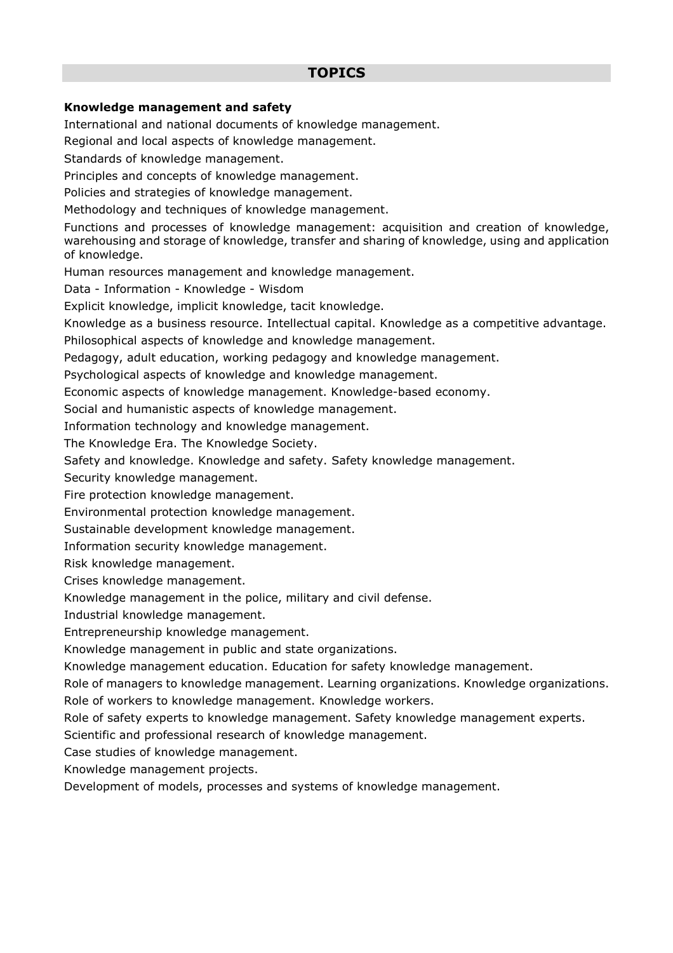# **TOPICS**

#### **Knowledge management and safety**

International and national documents of knowledge management.

Regional and local aspects of knowledge management.

Standards of knowledge management.

Principles and concepts of knowledge management.

Policies and strategies of knowledge management.

Methodology and techniques of knowledge management.

Functions and processes of knowledge management: acquisition and creation of knowledge, warehousing and storage of knowledge, transfer and sharing of knowledge, using and application of knowledge.

Human resources management and knowledge management.

Data - Information - Knowledge - Wisdom

Explicit knowledge, implicit knowledge, tacit knowledge.

Knowledge as a business resource. Intellectual capital. Knowledge as a competitive advantage.

Philosophical aspects of knowledge and knowledge management.

Pedagogy, adult education, working pedagogy and knowledge management.

Psychological aspects of knowledge and knowledge management.

Economic aspects of knowledge management. Knowledge-based economy.

Social and humanistic aspects of knowledge management.

Information technology and knowledge management.

The Knowledge Era. The Knowledge Society.

Safety and knowledge. Knowledge and safety. Safety knowledge management.

Security knowledge management.

Fire protection knowledge management.

Environmental protection knowledge management.

Sustainable development knowledge management.

Information security knowledge management.

Risk knowledge management.

Crises knowledge management.

Knowledge management in the police, military and civil defense.

Industrial knowledge management.

Entrepreneurship knowledge management.

Knowledge management in public and state organizations.

Knowledge management education. Education for safety knowledge management.

Role of managers to knowledge management. Learning organizations. Knowledge organizations.

Role of workers to knowledge management. Knowledge workers.

Role of safety experts to knowledge management. Safety knowledge management experts.

Scientific and professional research of knowledge management.

Case studies of knowledge management.

Knowledge management projects.

Development of models, processes and systems of knowledge management.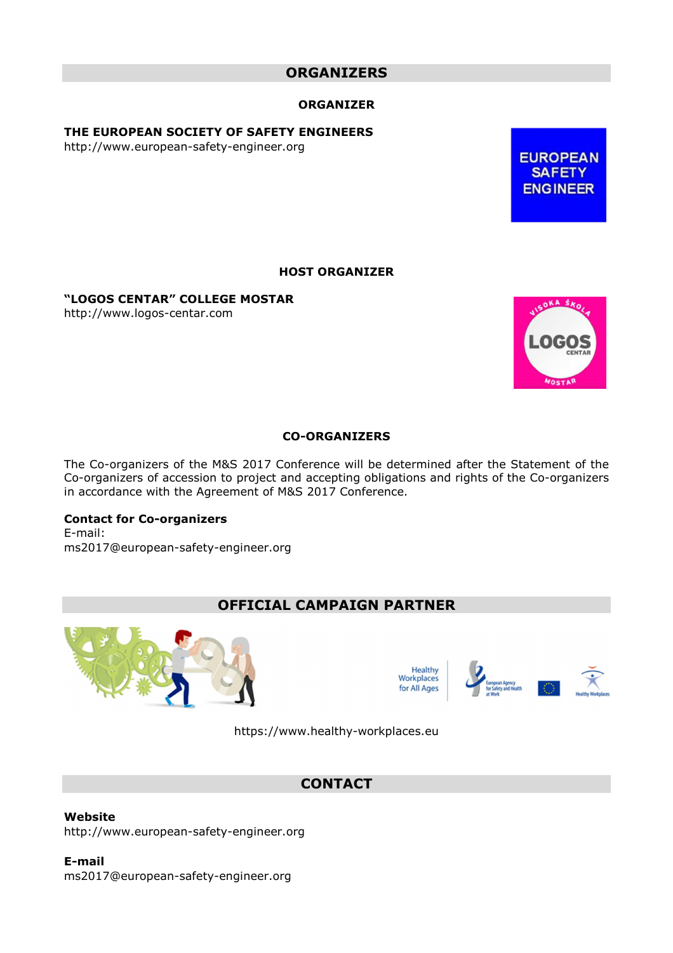# **ORGANIZERS**

#### **ORGANIZER**

**THE EUROPEAN SOCIETY OF SAFETY ENGINEERS** 

http://www.european-safety-engineer.org

**EUROPEAN SAFETY ENGINEER** 

#### **HOST ORGANIZER**

**"LOGOS CENTAR" COLLEGE MOSTAR**

http://www.logos-centar.com



#### **CO-ORGANIZERS**

The Co-organizers of the M&S 2017 Conference will be determined after the Statement of the Co-organizers of accession to project and accepting obligations and rights of the Co-organizers in accordance with the Agreement of M&S 2017 Conference.

#### **Contact for Co-organizers**

E-mail: ms2017@european-safety-engineer.org

## **OFFICIAL CAMPAIGN PARTNER**





https://www.healthy-workplaces.eu

### **CONTACT**

**Website**  http://www.european-safety-engineer.org

**E-mail**  ms2017@european-safety-engineer.org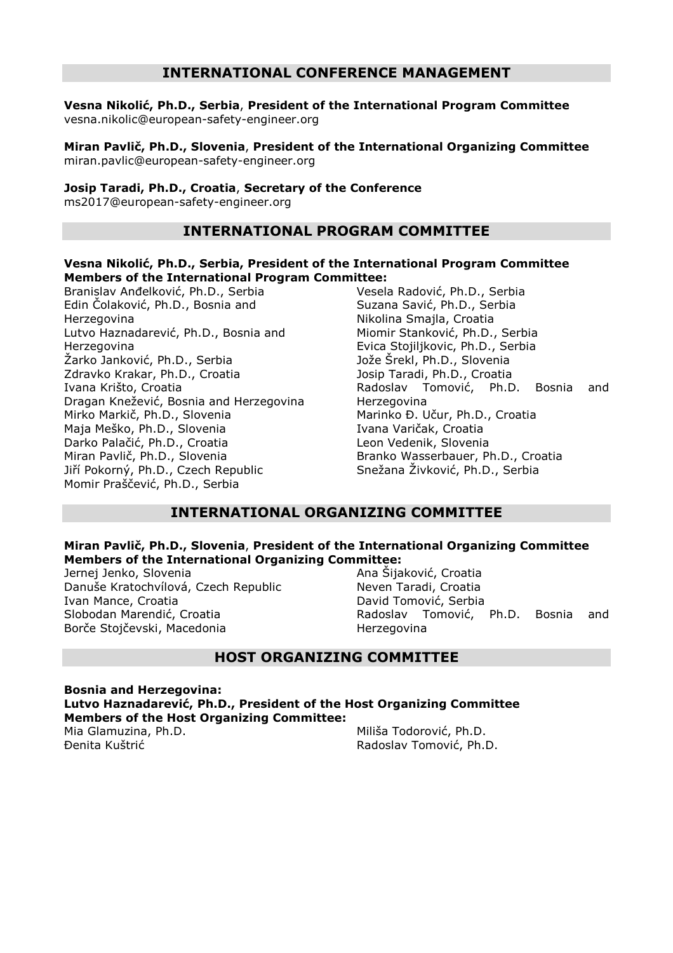## **INTERNATIONAL CONFERENCE MANAGEMENT**

**Vesna Nikolić, Ph.D., Serbia**, **President of the International Program Committee**  vesna.nikolic@european-safety-engineer.org

**Miran Pavlič, Ph.D., Slovenia**, **President of the International Organizing Committee** miran.pavlic@european-safety-engineer.org

#### **Josip Taradi, Ph.D., Croatia**, **Secretary of the Conference**

ms2017@european-safety-engineer.org

## **INTERNATIONAL PROGRAM COMMITTEE**

#### **Vesna Nikolić, Ph.D., Serbia, President of the International Program Committee Members of the International Program Committee:**

Branislav Anđelković, Ph.D., Serbia Edin Čolaković, Ph.D., Bosnia and Herzegovina Lutvo Haznadarević, Ph.D., Bosnia and Herzegovina Žarko Janković, Ph.D., Serbia Zdravko Krakar, Ph.D., Croatia Ivana Krišto, Croatia Dragan Knežević, Bosnia and Herzegovina Mirko Markič, Ph.D., Slovenia Maja Meško, Ph.D., Slovenia Darko Palačić, Ph.D., Croatia Miran Pavlič, Ph.D., Slovenia Jiří Pokorný, Ph.D., Czech Republic Momir Praščević, Ph.D., Serbia

Vesela Radović, Ph.D., Serbia Suzana Savić, Ph.D., Serbia Nikolina Smajla, Croatia Miomir Stanković, Ph.D., Serbia Evica Stojiljkovic, Ph.D., Serbia Jože Šrekl, Ph.D., Slovenia Josip Taradi, Ph.D., Croatia Radoslav Tomović, Ph.D. Bosnia and Herzegovina Marinko Đ. Učur, Ph.D., Croatia Ivana Varičak, Croatia Leon Vedenik, Slovenia Branko Wasserbauer, Ph.D., Croatia Snežana Živković, Ph.D., Serbia

### **INTERNATIONAL ORGANIZING COMMITTEE**

#### **Miran Pavlič, Ph.D., Slovenia**, **President of the International Organizing Committee Members of the International Organizing Committee:**

Jernej Jenko, Slovenia Danuše Kratochvílová, Czech Republic Ivan Mance, Croatia Slobodan Marendić, Croatia Borče Stojčevski, Macedonia

Ana Šijaković, Croatia Neven Taradi, Croatia David Tomović, Serbia Radoslav Tomović, Ph.D. Bosnia and Herzegovina

### **HOST ORGANIZING COMMITTEE**

**Bosnia and Herzegovina: Lutvo Haznadarević, Ph.D., President of the Host Organizing Committee Members of the Host Organizing Committee:** Mia Glamuzina, Ph.D. Miliša Todorović, Ph.D.

Đenita Kuštrić

Radoslav Tomović, Ph.D.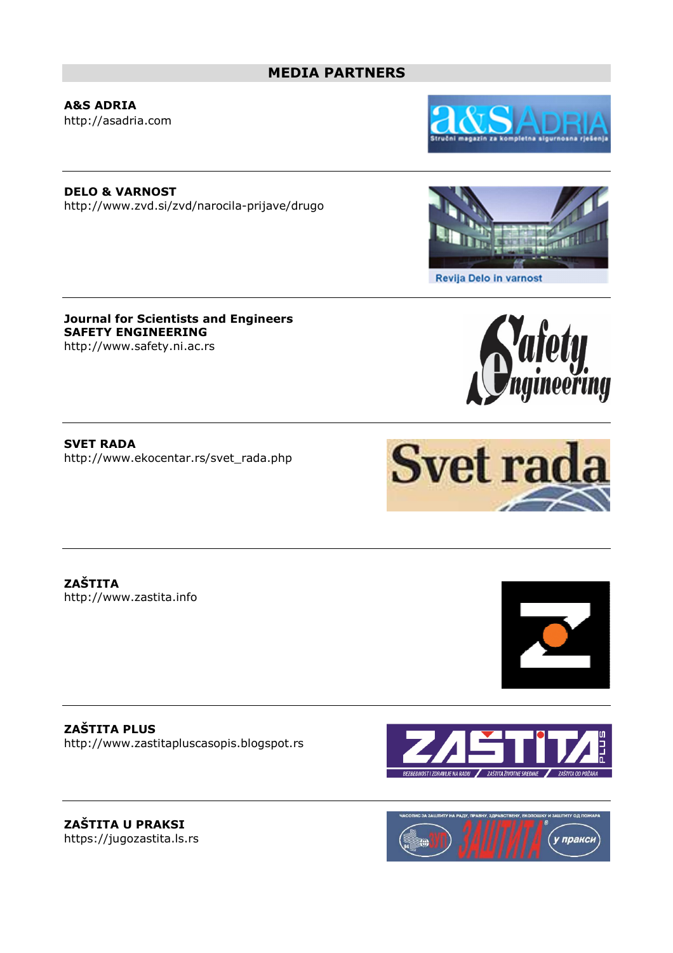# **MEDIA PARTNERS**

**A&S ADRIA**  http://asadria.com

**DELO & VARNOST**  http://www.zvd.si/zvd/narocila-prijave/drugo

**Journal for Scientists and Engineers SAFETY ENGINEERING**  http://www.safety.ni.ac.rs

**SVET RADA**  http://www.ekocentar.rs/svet\_rada.php

**ZAŠTITA**  http://www.zastita.info

**ZAŠTITA PLUS**  http://www.zastitapluscasopis.blogspot.rs





Revija Delo in varnost











**ZAŠTITA U PRAKSI**  https://jugozastita.ls.rs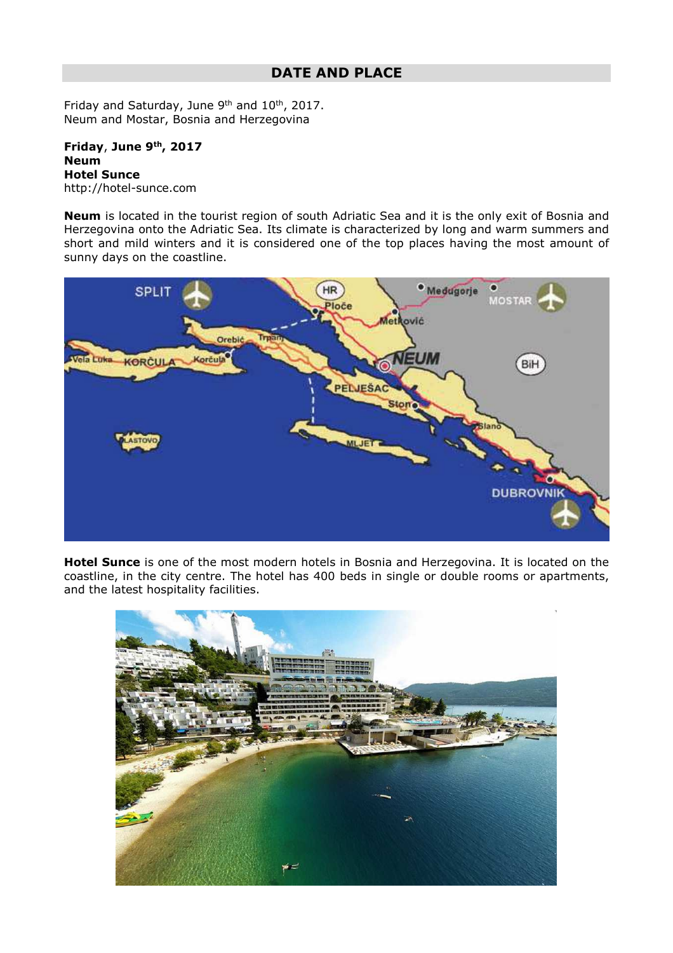Friday and Saturday, June 9<sup>th</sup> and 10<sup>th</sup>, 2017. Neum and Mostar, Bosnia and Herzegovina

**Friday**, **June 9th, 2017 Neum Hotel Sunce**  http://hotel-sunce.com

**Neum** is located in the tourist region of south Adriatic Sea and it is the only exit of Bosnia and Herzegovina onto the Adriatic Sea. Its climate is characterized by long and warm summers and short and mild winters and it is considered one of the top places having the most amount of sunny days on the coastline.



**Hotel Sunce** is one of the most modern hotels in Bosnia and Herzegovina. It is located on the coastline, in the city centre. The hotel has 400 beds in single or double rooms or apartments, and the latest hospitality facilities.

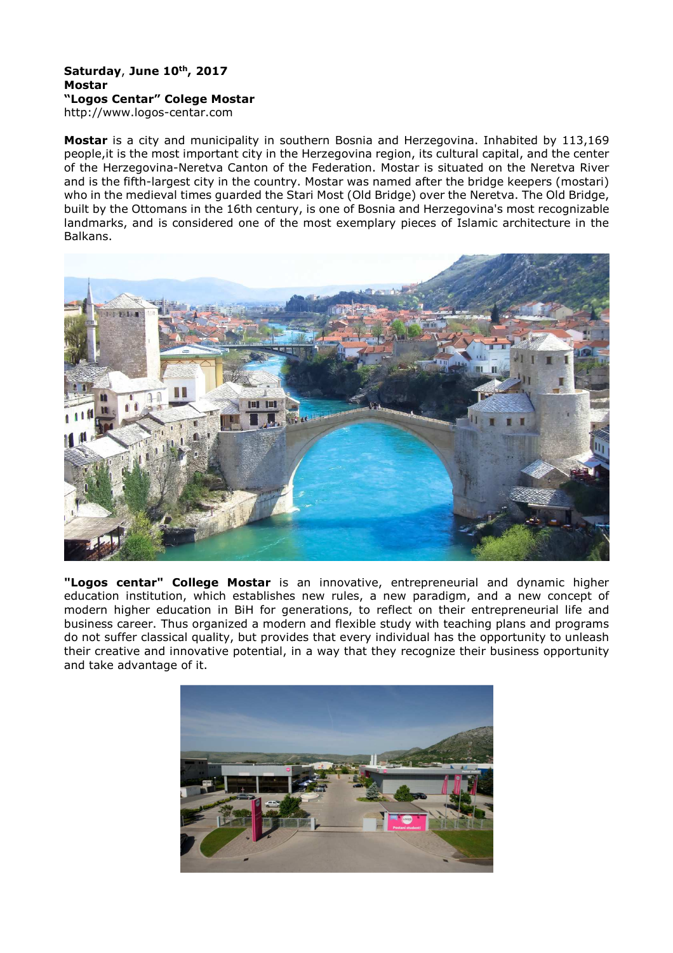# **Saturday**, **June 10th, 2017 Mostar "Logos Centar" Colege Mostar**

http://www.logos-centar.com

**Mostar** is a city and municipality in southern Bosnia and Herzegovina. Inhabited by 113,169 people,it is the most important city in the Herzegovina region, its cultural capital, and the center of the Herzegovina-Neretva Canton of the Federation. Mostar is situated on the Neretva River and is the fifth-largest city in the country. Mostar was named after the bridge keepers (mostari) who in the medieval times guarded the Stari Most (Old Bridge) over the Neretva. The Old Bridge, built by the Ottomans in the 16th century, is one of Bosnia and Herzegovina's most recognizable landmarks, and is considered one of the most exemplary pieces of Islamic architecture in the Balkans.



**"Logos centar" College Mostar** is an innovative, entrepreneurial and dynamic higher education institution, which establishes new rules, a new paradigm, and a new concept of modern higher education in BiH for generations, to reflect on their entrepreneurial life and business career. Thus organized a modern and flexible study with teaching plans and programs do not suffer classical quality, but provides that every individual has the opportunity to unleash their creative and innovative potential, in a way that they recognize their business opportunity and take advantage of it.

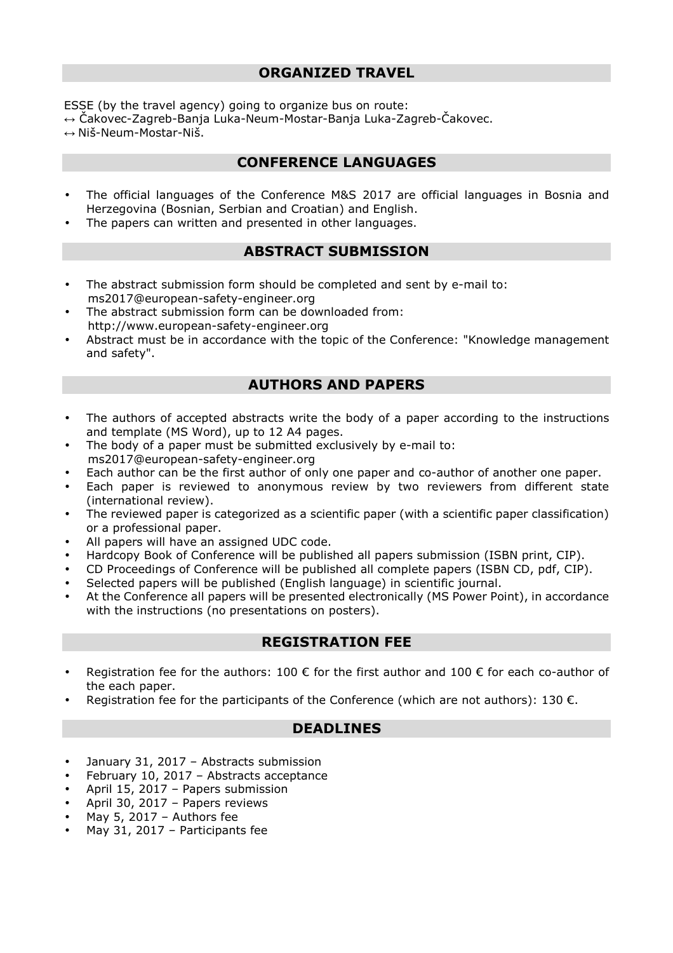ESSE (by the travel agency) going to organize bus on route: ↔ Čakovec-Zagreb-Banja Luka-Neum-Mostar-Banja Luka-Zagreb-Čakovec.  $\leftrightarrow$  Niš-Neum-Mostar-Niš.

# **CONFERENCE LANGUAGES**

- The official languages of the Conference M&S 2017 are official languages in Bosnia and Herzegovina (Bosnian, Serbian and Croatian) and English.
- The papers can written and presented in other languages.

# **ABSTRACT SUBMISSION**

- The abstract submission form should be completed and sent by e-mail to: ms2017@european-safety-engineer.org
- The abstract submission form can be downloaded from: http://www.european-safety-engineer.org
- Abstract must be in accordance with the topic of the Conference: "Knowledge management and safety".

# **AUTHORS AND PAPERS**

- The authors of accepted abstracts write the body of a paper according to the instructions and template (MS Word), up to 12 A4 pages.
- The body of a paper must be submitted exclusively by e-mail to: ms2017@european-safety-engineer.org
- Each author can be the first author of only one paper and co-author of another one paper.
- Each paper is reviewed to anonymous review by two reviewers from different state (international review).
- The reviewed paper is categorized as a scientific paper (with a scientific paper classification) or a professional paper.
- All papers will have an assigned UDC code.
- Hardcopy Book of Conference will be published all papers submission (ISBN print, CIP).
- CD Proceedings of Conference will be published all complete papers (ISBN CD, pdf, CIP).
- Selected papers will be published (English language) in scientific journal.
- At the Conference all papers will be presented electronically (MS Power Point), in accordance with the instructions (no presentations on posters).

# **REGISTRATION FEE**

- Registration fee for the authors: 100  $\epsilon$  for the first author and 100  $\epsilon$  for each co-author of the each paper.
- Registration fee for the participants of the Conference (which are not authors):  $130 \text{ } \epsilon$ .

# **DEADLINES**

- January 31, 2017 Abstracts submission
- February 10, 2017 Abstracts acceptance
- April 15, 2017 Papers submission
- April 30, 2017 Papers reviews
- May 5, 2017 Authors fee
- May 31, 2017 Participants fee